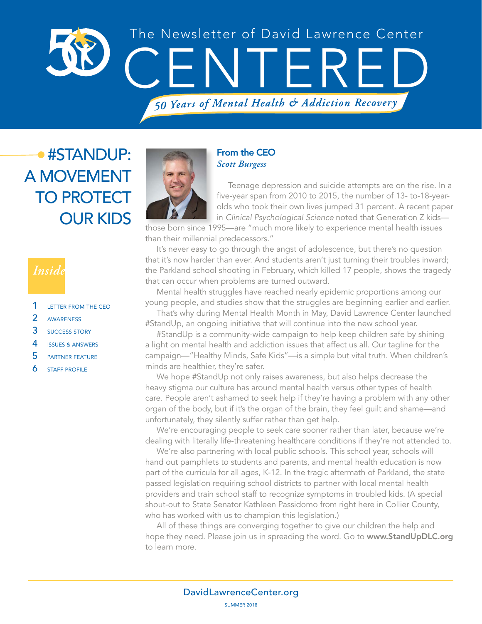

### #STANDUP: A MOVEMENT TO PROTECT OUR KIDS

### *Inside*

- 1 LETTER FROM THE CEO
- 2 AWARENESS
- 3 SUCCESS STORY
- 4 ISSUES & ANSWERS
- 5 PARTNER FEATURE
- **6** STAFF PROFILE



#### From the CEO *Scott Burgess*

Teenage depression and suicide attempts are on the rise. In a five-year span from 2010 to 2015, the number of 13- to-18-yearolds who took their own lives jumped 31 percent. A recent paper in *Clinical Psychological Science* noted that Generation Z kids—

those born since 1995—are "much more likely to experience mental health issues than their millennial predecessors."

It's never easy to go through the angst of adolescence, but there's no question that it's now harder than ever. And students aren't just turning their troubles inward; the Parkland school shooting in February, which killed 17 people, shows the tragedy that can occur when problems are turned outward.

Mental health struggles have reached nearly epidemic proportions among our young people, and studies show that the struggles are beginning earlier and earlier.

That's why during Mental Health Month in May, David Lawrence Center launched #StandUp, an ongoing initiative that will continue into the new school year.

#StandUp is a community-wide campaign to help keep children safe by shining a light on mental health and addiction issues that affect us all. Our tagline for the campaign—"Healthy Minds, Safe Kids"—is a simple but vital truth. When children's minds are healthier, they're safer.

We hope #StandUp not only raises awareness, but also helps decrease the heavy stigma our culture has around mental health versus other types of health care. People aren't ashamed to seek help if they're having a problem with any other organ of the body, but if it's the organ of the brain, they feel guilt and shame—and unfortunately, they silently suffer rather than get help.

We're encouraging people to seek care sooner rather than later, because we're dealing with literally life-threatening healthcare conditions if they're not attended to.

We're also partnering with local public schools. This school year, schools will hand out pamphlets to students and parents, and mental health education is now part of the curricula for all ages, K-12. In the tragic aftermath of Parkland, the state passed legislation requiring school districts to partner with local mental health providers and train school staff to recognize symptoms in troubled kids. (A special shout-out to State Senator Kathleen Passidomo from right here in Collier County, who has worked with us to champion this legislation.)

All of these things are converging together to give our children the help and hope they need. Please join us in spreading the word. Go to www.StandUpDLC.org to learn more.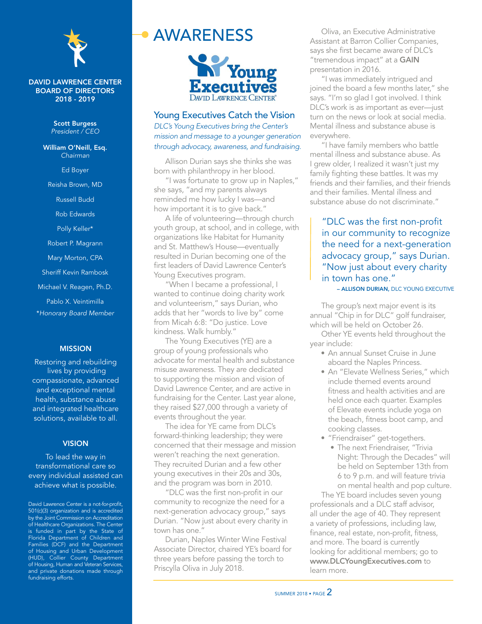

#### DAVID LAWRENCE CENTER BOARD OF DIRECTORS 2018 - 2019

Scott Burgess *President / CEO*

William O'Neill, Esq. *Chairman*

Ed Boyer

Reisha Brown, MD

Russell Budd

Rob Edwards

Polly Keller\*

Robert P. Magrann

Mary Morton, CPA

Sheriff Kevin Rambosk

Michael V. Reagen, Ph.D.

Pablo X. Veintimilla

\**Honorary Board Member*

#### MISSION

Restoring and rebuilding lives by providing compassionate, advanced and exceptional mental health, substance abuse and integrated healthcare solutions, available to all.

#### **VISION**

To lead the way in transformational care so every individual assisted can achieve what is possible.

David Lawrence Center is a not-for-profit, 501(c)(3) organization and is accredited by the Joint Commission on Accreditation of Healthcare Organizations. The Center is funded in part by the State of Florida Department of Children and Families (DCF) and the Department of Housing and Urban Development (HUD), Collier County Department of Housing, Human and Veteran Services, and private donations made through fundraising efforts.

### AWARENESS



#### Young Executives Catch the Vision *DLC's Young Executives bring the Center's mission and message to a younger generation through advocacy, awareness, and fundraising.*

Allison Durian says she thinks she was born with philanthropy in her blood.

"I was fortunate to grow up in Naples," she says, "and my parents always reminded me how lucky I was—and how important it is to give back."

A life of volunteering—through church youth group, at school, and in college, with organizations like Habitat for Humanity and St. Matthew's House—eventually resulted in Durian becoming one of the first leaders of David Lawrence Center's Young Executives program.

"When I became a professional, I wanted to continue doing charity work and volunteerism," says Durian, who adds that her "words to live by" come from Micah 6:8: "Do justice. Love kindness. Walk humbly."

The Young Executives (YE) are a group of young professionals who advocate for mental health and substance misuse awareness. They are dedicated to supporting the mission and vision of David Lawrence Center, and are active in fundraising for the Center. Last year alone, they raised \$27,000 through a variety of events throughout the year.

The idea for YE came from DLC's forward-thinking leadership; they were concerned that their message and mission weren't reaching the next generation. They recruited Durian and a few other young executives in their 20s and 30s, and the program was born in 2010.

"DLC was the first non-profit in our community to recognize the need for a next-generation advocacy group," says Durian. "Now just about every charity in town has one."

Durian, Naples Winter Wine Festival Associate Director, chaired YE's board for three years before passing the torch to Priscylla Oliva in July 2018.

Oliva, an Executive Administrative Assistant at Barron Collier Companies, says she first became aware of DLC's "tremendous impact" at a GAIN presentation in 2016.

"I was immediately intrigued and joined the board a few months later," she says. "I'm so glad I got involved. I think DLC's work is as important as ever—just turn on the news or look at social media. Mental illness and substance abuse is everywhere.

"I have family members who battle mental illness and substance abuse. As I grew older, I realized it wasn't just my family fighting these battles. It was my friends and their families, and their friends and their families. Mental illness and substance abuse do not discriminate."

"DLC was the first non-profit in our community to recognize the need for a next-generation advocacy group," says Durian. "Now just about every charity in town has one."

**- ALLISON DURIAN, DLC YOUNG EXECUTIVE** 

The group's next major event is its annual "Chip in for DLC" golf fundraiser, which will be held on October 26.

Other YE events held throughout the year include:

- An annual Sunset Cruise in June aboard the Naples Princess.
- An "Elevate Wellness Series," which include themed events around fitness and health activities and are held once each quarter. Examples of Elevate events include yoga on the beach, fitness boot camp, and cooking classes.
- "Friendraiser" get-togethers.
	- The next Friendraiser, "Trivia Night: Through the Decades" will be held on September 13th from 6 to 9 p.m. and will feature trivia on mental health and pop culture.

The YE board includes seven young professionals and a DLC staff advisor, all under the age of 40. They represent a variety of professions, including law, finance, real estate, non-profit, fitness, and more. The board is currently looking for additional members; go to www.DLCYoungExecutives.com to learn more.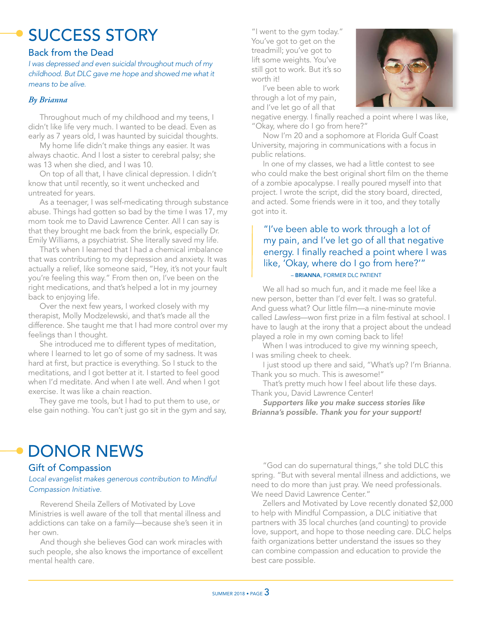# SUCCESS STORY

#### Back from the Dead

*I was depressed and even suicidal throughout much of my childhood. But DLC gave me hope and showed me what it means to be alive.*

#### *By Brianna*

Throughout much of my childhood and my teens, I didn't like life very much. I wanted to be dead. Even as early as 7 years old, I was haunted by suicidal thoughts.

My home life didn't make things any easier. It was always chaotic. And I lost a sister to cerebral palsy; she was 13 when she died, and I was 10.

On top of all that, I have clinical depression. I didn't know that until recently, so it went unchecked and untreated for years.

As a teenager, I was self-medicating through substance abuse. Things had gotten so bad by the time I was 17, my mom took me to David Lawrence Center. All I can say is that they brought me back from the brink, especially Dr. Emily Williams, a psychiatrist. She literally saved my life.

That's when I learned that I had a chemical imbalance that was contributing to my depression and anxiety. It was actually a relief, like someone said, "Hey, it's not your fault you're feeling this way." From then on, I've been on the right medications, and that's helped a lot in my journey back to enjoying life.

Over the next few years, I worked closely with my therapist, Molly Modzelewski, and that's made all the difference. She taught me that I had more control over my feelings than I thought.

She introduced me to different types of meditation, where I learned to let go of some of my sadness. It was hard at first, but practice is everything. So I stuck to the meditations, and I got better at it. I started to feel good when I'd meditate. And when I ate well. And when I got exercise. It was like a chain reaction.

They gave me tools, but I had to put them to use, or else gain nothing. You can't just go sit in the gym and say,

"I went to the gym today." You've got to get on the treadmill; you've got to lift some weights. You've still got to work. But it's so worth it!

I've been able to work through a lot of my pain, and I've let go of all that



negative energy. I finally reached a point where I was like, "Okay, where do I go from here?"

Now I'm 20 and a sophomore at Florida Gulf Coast University, majoring in communications with a focus in public relations.

In one of my classes, we had a little contest to see who could make the best original short film on the theme of a zombie apocalypse. I really poured myself into that project. I wrote the script, did the story board, directed, and acted. Some friends were in it too, and they totally got into it.

#### – BRIANNA, FORMER DLC PATIENT "I've been able to work through a lot of my pain, and I've let go of all that negative energy. I finally reached a point where I was like, 'Okay, where do I go from here?'"

We all had so much fun, and it made me feel like a new person, better than I'd ever felt. I was so grateful. And guess what? Our little film—a nine-minute movie called *Lawless*—won first prize in a film festival at school. I have to laugh at the irony that a project about the undead played a role in my own coming back to life!

When I was introduced to give my winning speech, I was smiling cheek to cheek.

I just stood up there and said, "What's up? I'm Brianna. Thank you so much. This is awesome!"

That's pretty much how I feel about life these days. Thank you, David Lawrence Center!

*Supporters like you make success stories like Brianna's possible. Thank you for your support!*

### DONOR NEWS

#### Gift of Compassion

#### *Local evangelist makes generous contribution to Mindful Compassion Initiative.*

Reverend Sheila Zellers of Motivated by Love Ministries is well aware of the toll that mental illness and addictions can take on a family—because she's seen it in her own.

And though she believes God can work miracles with such people, she also knows the importance of excellent mental health care.

"God can do supernatural things," she told DLC this spring. "But with several mental illness and addictions, we need to do more than just pray. We need professionals. We need David Lawrence Center."

Zellers and Motivated by Love recently donated \$2,000 to help with Mindful Compassion, a DLC initiative that partners with 35 local churches (and counting) to provide love, support, and hope to those needing care. DLC helps faith organizations better understand the issues so they can combine compassion and education to provide the best care possible.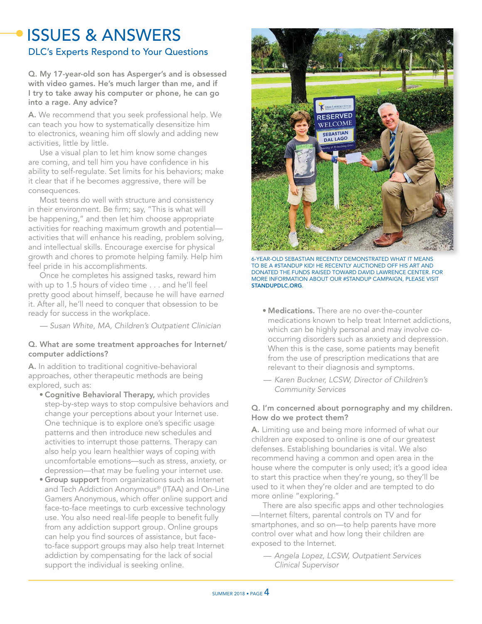### ISSUES & ANSWERS

#### DLC's Experts Respond to Your Questions

Q. My 17-year-old son has Asperger's and is obsessed with video games. He's much larger than me, and if I try to take away his computer or phone, he can go into a rage. Any advice?

A. We recommend that you seek professional help. We can teach you how to systematically desensitize him to electronics, weaning him off slowly and adding new activities, little by little.

Use a visual plan to let him know some changes are coming, and tell him you have confidence in his ability to self-regulate. Set limits for his behaviors; make it clear that if he becomes aggressive, there will be consequences.

Most teens do well with structure and consistency in their environment. Be firm; say, "This is what will be happening," and then let him choose appropriate activities for reaching maximum growth and potential activities that will enhance his reading, problem solving, and intellectual skills. Encourage exercise for physical growth and chores to promote helping family. Help him feel pride in his accomplishments.

Once he completes his assigned tasks, reward him with up to 1.5 hours of video time . . . and he'll feel pretty good about himself, because he will have *earned* it. After all, he'll need to conquer that obsession to be ready for success in the workplace.

*— Susan White, MA, Children's Outpatient Clinician*

#### Q. What are some treatment approaches for Internet/ computer addictions?

A. In addition to traditional cognitive-behavioral approaches, other therapeutic methods are being explored, such as:

- Cognitive Behavioral Therapy, which provides step-by-step ways to stop compulsive behaviors and change your perceptions about your Internet use. One technique is to explore one's specific usage patterns and then introduce new schedules and activities to interrupt those patterns. Therapy can also help you learn healthier ways of coping with uncomfortable emotions—such as stress, anxiety, or depression—that may be fueling your internet use.
- **Group support** from organizations such as Internet and Tech Addiction Anonymous® (ITAA) and On-Line Gamers Anonymous, which offer online support and face-to-face meetings to curb excessive technology use. You also need real-life people to benefit fully from any addiction support group. Online groups can help you find sources of assistance, but faceto-face support groups may also help treat Internet addiction by compensating for the lack of social support the individual is seeking online.



6-YEAR-OLD SEBASTIAN RECENTLY DEMONSTRATED WHAT IT MEANS TO BE A #STANDUP KID! HE RECENTLY AUCTIONED OFF HIS ART AND DONATED THE FUNDS RAISED TOWARD DAVID LAWRENCE CENTER. FOR MORE INFORMATION ABOUT OUR #STANDUP CAMPAIGN, PLEASE VISIT STANDUPDLC.ORG.

- Medications. There are no over-the-counter medications known to help treat Internet addictions, which can be highly personal and may involve cooccurring disorders such as anxiety and depression. When this is the case, some patients may benefit from the use of prescription medications that are relevant to their diagnosis and symptoms.
- *— Karen Buckner, LCSW, Director of Children's Community Services*

#### Q. I'm concerned about pornography and my children. How do we protect them?

A. Limiting use and being more informed of what our children are exposed to online is one of our greatest defenses. Establishing boundaries is vital. We also recommend having a common and open area in the house where the computer is only used; it's a good idea to start this practice when they're young, so they'll be used to it when they're older and are tempted to do more online "exploring."

There are also specific apps and other technologies —Internet filters, parental controls on TV and for smartphones, and so on—to help parents have more control over what and how long their children are exposed to the Internet.

*— Angela Lopez, LCSW, Outpatient Services Clinical Supervisor*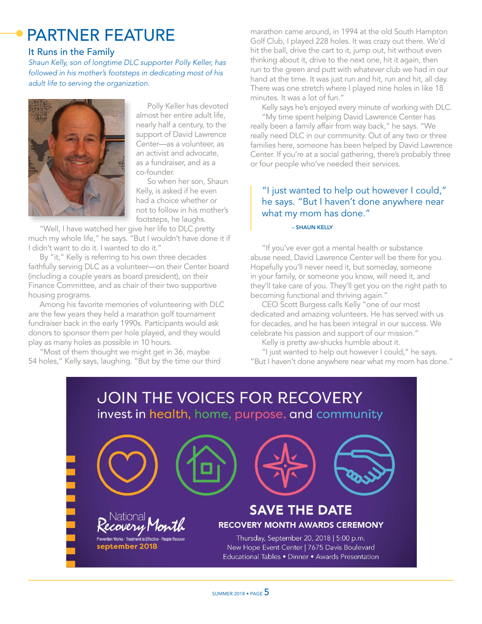## PARTNER FEATURE

#### It Runs in the Family

*Shaun Kelly, son of longtime DLC supporter Polly Keller, has followed in his mother's footsteps in dedicating most of his adult life to serving the organization.*



Polly Keller has devoted almost her entire adult life, nearly half a century, to the support of David Lawrence Center—as a volunteer, as an activist and advocate, as a fundraiser, and as a co-founder.

So when her son, Shaun Kelly, is asked if he even had a choice whether or not to follow in his mother's footsteps, he laughs.

"Well, I have watched her give her life to DLC pretty much my whole life," he says. "But I wouldn't have done it if I didn't want to do it. I wanted to do it."

By "it," Kelly is referring to his own three decades faithfully serving DLC as a volunteer—on their Center board (including a couple years as board president), on their Finance Committee, and as chair of their two supportive housing programs.

Among his favorite memories of volunteering with DLC are the few years they held a marathon golf tournament fundraiser back in the early 1990s. Participants would ask donors to sponsor them per hole played, and they would play as many holes as possible in 10 hours.

"Most of them thought we might get in 36, maybe 54 holes," Kelly says, laughing. "But by the time our third marathon came around, in 1994 at the old South Hampton Golf Club, I played 228 holes. It was crazy out there. We'd hit the ball, drive the cart to it, jump out, hit without even thinking about it, drive to the next one, hit it again, then run to the green and putt with whatever club we had in our hand at the time. It was just run and hit, run and hit, all day. There was one stretch where I played nine holes in like 18 minutes. It was a lot of fun."

Kelly says he's enjoyed every minute of working with DLC. "My time spent helping David Lawrence Center has really been a family affair from way back," he says. "We really need DLC in our community. Out of any two or three families here, someone has been helped by David Lawrence Center. If you're at a social gathering, there's probably three or four people who've needed their services.

#### "I just wanted to help out however I could," he says. "But I haven't done anywhere near what my mom has done."

#### – SHAUN KELLY

"If you've ever got a mental health or substance abuse need, David Lawrence Center will be there for you. Hopefully you'll never need it, but someday, someone in your family, or someone you know, will need it, and they'll take care of you. They'll get you on the right path to becoming functional and thriving again."

CEO Scott Burgess calls Kelly "one of our most dedicated and amazing volunteers. He has served with us for decades, and he has been integral in our success. We celebrate his passion and support of our mission."

Kelly is pretty aw-shucks humble about it.

"I just wanted to help out however I could," he says. "But I haven't done anywhere near what my mom has done."

### **JOIN THE VOICES FOR RECOVERY** invest in health, home, purpose, and community